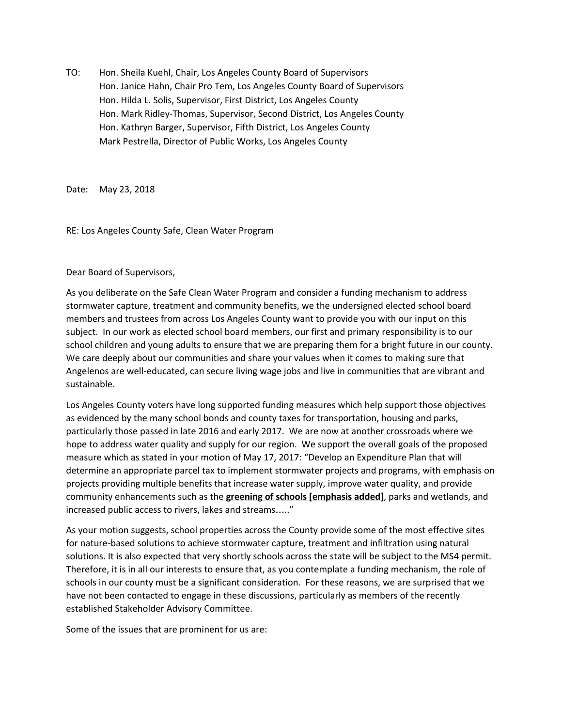TO: Hon. Sheila Kuehl, Chair, Los Angeles County Board of Supervisors Hon. Janice Hahn, Chair Pro Tem, Los Angeles County Board of Supervisors Hon. Hilda L. Solis, Supervisor, First District, Los Angeles County Hon. Mark Ridley-Thomas, Supervisor, Second District, Los Angeles County Hon. Kathryn Barger, Supervisor, Fifth District, Los Angeles County Mark Pestrella, Director of Public Works, Los Angeles County

Date: May 23, 2018

RE: Los Angeles County Safe, Clean Water Program

Dear Board of Supervisors,

As you deliberate on the Safe Clean Water Program and consider a funding mechanism to address stormwater capture, treatment and community benefits, we the undersigned elected school board members and trustees from across Los Angeles County want to provide you with our input on this subject. In our work as elected school board members, our first and primary responsibility is to our school children and young adults to ensure that we are preparing them for a bright future in our county. We care deeply about our communities and share your values when it comes to making sure that Angelenos are well-educated, can secure living wage jobs and live in communities that are vibrant and sustainable.

Los Angeles County voters have long supported funding measures which help support those objectives as evidenced by the many school bonds and county taxes for transportation, housing and parks, particularly those passed in late 2016 and early 2017. We are now at another crossroads where we hope to address water quality and supply for our region. We support the overall goals of the proposed measure which as stated in your motion of May 17, 2017: "Develop an Expenditure Plan that will determine an appropriate parcel tax to implement stormwater projects and programs, with emphasis on projects providing multiple benefits that increase water supply, improve water quality, and provide community enhancements such as the **greening of schools [emphasis added]**, parks and wetlands, and increased public access to rivers, lakes and streams….."

As your motion suggests, school properties across the County provide some of the most effective sites for nature-based solutions to achieve stormwater capture, treatment and infiltration using natural solutions. It is also expected that very shortly schools across the state will be subject to the MS4 permit. Therefore, it is in all our interests to ensure that, as you contemplate a funding mechanism, the role of schools in our county must be a significant consideration. For these reasons, we are surprised that we have not been contacted to engage in these discussions, particularly as members of the recently established Stakeholder Advisory Committee.

Some of the issues that are prominent for us are: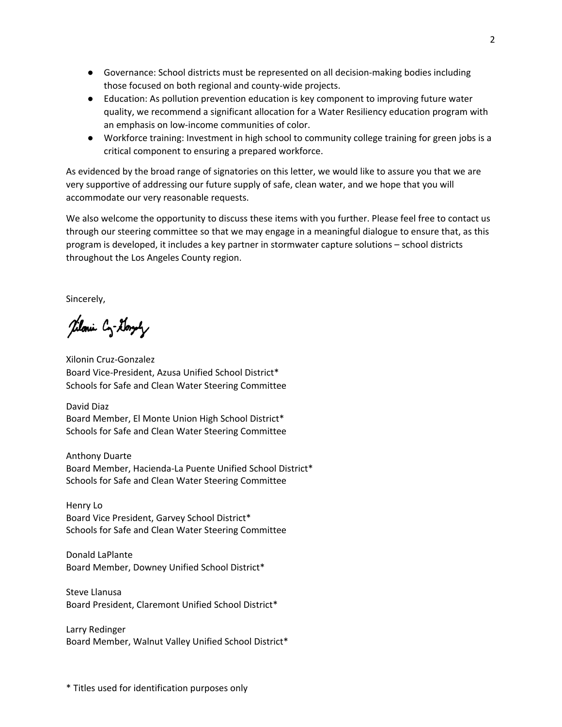- Governance: School districts must be represented on all decision-making bodies including those focused on both regional and county-wide projects.
- Education: As pollution prevention education is key component to improving future water quality, we recommend a significant allocation for a Water Resiliency education program with an emphasis on low-income communities of color.
- Workforce training: Investment in high school to community college training for green jobs is a critical component to ensuring a prepared workforce.

As evidenced by the broad range of signatories on this letter, we would like to assure you that we are very supportive of addressing our future supply of safe, clean water, and we hope that you will accommodate our very reasonable requests.

We also welcome the opportunity to discuss these items with you further. Please feel free to contact us through our steering committee so that we may engage in a meaningful dialogue to ensure that, as this program is developed, it includes a key partner in stormwater capture solutions – school districts throughout the Los Angeles County region.

Sincerely,

Tiloni Cz-Goryly

Xilonin Cruz-Gonzalez Board Vice-President, Azusa Unified School District\* Schools for Safe and Clean Water Steering Committee

David Diaz Board Member, El Monte Union High School District\* Schools for Safe and Clean Water Steering Committee

Anthony Duarte Board Member, Hacienda-La Puente Unified School District\* Schools for Safe and Clean Water Steering Committee

Henry Lo Board Vice President, Garvey School District\* Schools for Safe and Clean Water Steering Committee

Donald LaPlante Board Member, Downey Unified School District\*

Steve Llanusa Board President, Claremont Unified School District\*

Larry Redinger Board Member, Walnut Valley Unified School District\*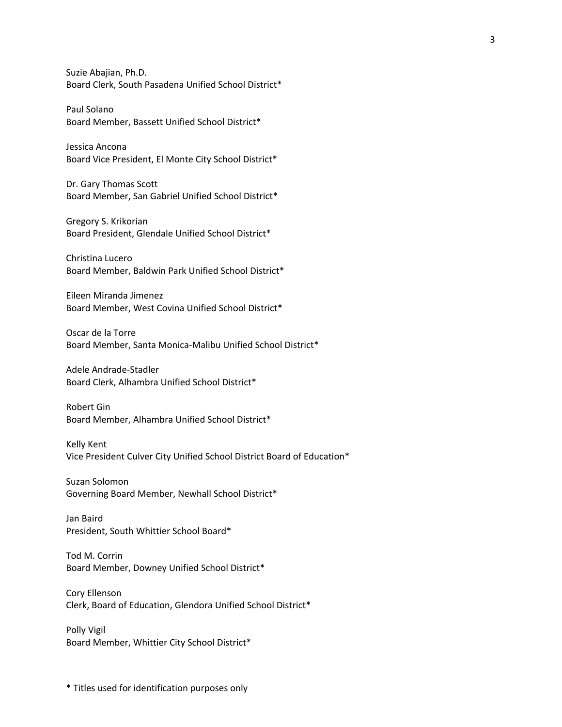Suzie Abajian, Ph.D. Board Clerk, South Pasadena Unified School District\*

Paul Solano Board Member, Bassett Unified School District\*

Jessica Ancona Board Vice President, El Monte City School District\*

Dr. Gary Thomas Scott Board Member, San Gabriel Unified School District\*

Gregory S. Krikorian Board President, Glendale Unified School District\*

Christina Lucero Board Member, Baldwin Park Unified School District\*

Eileen Miranda Jimenez Board Member, West Covina Unified School District\*

Oscar de la Torre Board Member, Santa Monica-Malibu Unified School District\*

Adele Andrade-Stadler Board Clerk, Alhambra Unified School District\*

Robert Gin Board Member, Alhambra Unified School District\*

Kelly Kent Vice President Culver City Unified School District Board of Education\*

Suzan Solomon Governing Board Member, Newhall School District\*

Jan Baird President, South Whittier School Board\*

Tod M. Corrin Board Member, Downey Unified School District\*

Cory Ellenson Clerk, Board of Education, Glendora Unified School District\*

Polly Vigil Board Member, Whittier City School District\*

\* Titles used for identification purposes only